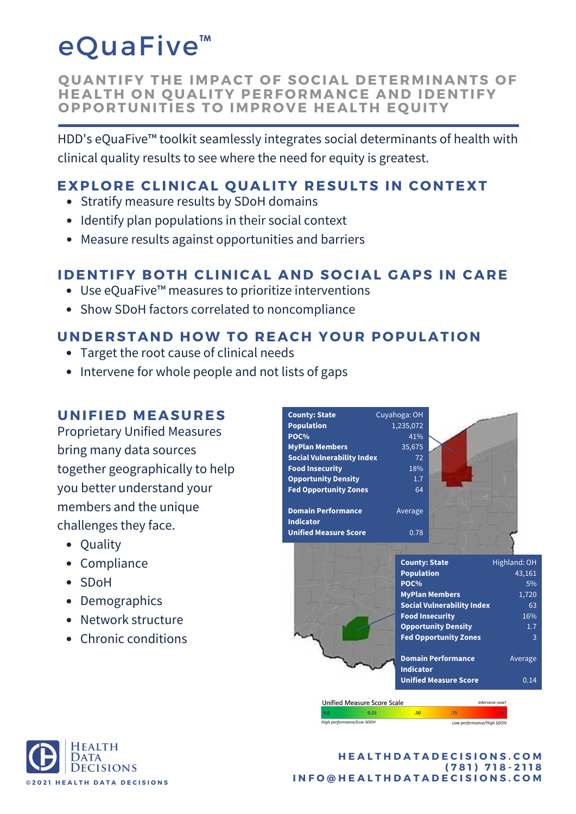# eQuaFive<sup>™</sup>

**Q UANTIFY THE IMPACT O F S O CIAL DETERMINANTS O F HEALTH O N Q UALITY PERF O RMANCE AND IDENTIFY O PP O RTUNITIES T O IMPR O VE HEALTH E Q UITY**

HDD's eQuaFive™ toolkit seamlessly integrates social determinants of health with clinical quality results to see where the need for equity is greatest.

### **EXPLORE CLINICAL OUALITY RESULTS IN CONTEXT**

- Stratify measure results by SDoH domains
- Identify plan populations in their social context
- Measure results against opportunities and barriers

# **IDENTIFY B O TH CLINICAL AND S O CIAL GAPS IN CARE**

- Use eQuaFive™ measures to prioritize interventions
- Show SDoH factors correlated to noncompliance

## **UNDERSTAND H OW T O REACH Y O UR P O PULATI O N**

- Target the root cause of clinical needs
- Intervene for whole people and not lists of gaps

### **UNIFIED MEASURES**

Proprietary Unified Measures bring many data sources together geographically to help you better understand your members and the unique challenges they face.

- Ouality
- Compliance
- SDoH
- Demographics
- Network structure
- Chronic conditions

| <b>County: State</b>                                   | Cuyahoga: OH                                      |                                                                                                                                                    |                                                                |
|--------------------------------------------------------|---------------------------------------------------|----------------------------------------------------------------------------------------------------------------------------------------------------|----------------------------------------------------------------|
| <b>Population</b>                                      | 1,235,072                                         |                                                                                                                                                    |                                                                |
| POC%                                                   | 41%                                               |                                                                                                                                                    |                                                                |
| <b>MyPlan Members</b>                                  | 35,675                                            |                                                                                                                                                    |                                                                |
| <b>Social Vulnerability Index</b>                      | 72                                                |                                                                                                                                                    |                                                                |
| <b>Food Insecurity</b>                                 | 18%                                               |                                                                                                                                                    |                                                                |
| <b>Opportunity Density</b>                             | 1.7                                               |                                                                                                                                                    |                                                                |
| <b>Fed Opportunity Zones</b>                           | 64                                                |                                                                                                                                                    |                                                                |
| <b>Domain Performance</b><br><b>Indicator</b>          | Average                                           |                                                                                                                                                    |                                                                |
| <b>Unified Measure Score</b>                           | 0.78                                              |                                                                                                                                                    |                                                                |
|                                                        | <b>County: State</b><br><b>Population</b><br>POC% | <b>MyPlan Members</b><br><b>Social Vulnerability Index</b><br><b>Food Insecurity</b><br><b>Opportunity Density</b><br><b>Fed Opportunity Zones</b> | Highland: OH<br>43,161<br>5%<br>1,720<br>63<br>16%<br>1.7<br>3 |
|                                                        | <b>Indicator</b>                                  | <b>Domain Performance</b><br><b>Unified Measure Score</b>                                                                                          | Average<br>0.14                                                |
| <b>Unified Measure Score Scale</b>                     |                                                   |                                                                                                                                                    | Intervene now!                                                 |
| 0.0<br>0.25                                            | .50                                               | .75                                                                                                                                                | 1.0                                                            |
| High performance/Low SDOH<br>Low performance/High SDOH |                                                   |                                                                                                                                                    |                                                                |



#### **H E A L T H D A T A D E C I S I O N S . C O M ( 7 8 1 ) 7 1 8 - 2 1 1 8** INFO@HEALTHDATADECISIONS.COM